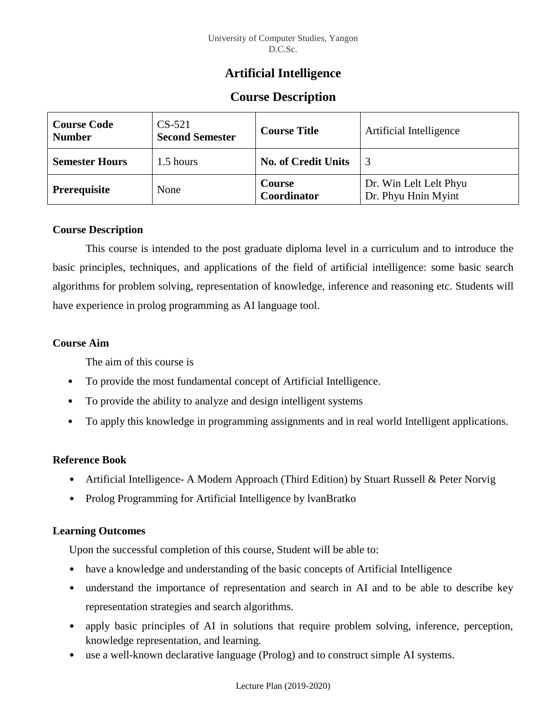## **Artificial Intelligence**

# **Course Description**

| <b>Course Code</b><br><b>Number</b> | $CS-521$<br><b>Second Semester</b>      | <b>Course Title</b>   | <b>Artificial Intelligence</b>                |  |
|-------------------------------------|-----------------------------------------|-----------------------|-----------------------------------------------|--|
| <b>Semester Hours</b>               | <b>No. of Credit Units</b><br>1.5 hours |                       |                                               |  |
| <b>Prerequisite</b><br>None         |                                         | Course<br>Coordinator | Dr. Win Lelt Lelt Phyu<br>Dr. Phyu Hnin Myint |  |

### **Course Description**

This course is intended to the post graduate diploma level in a curriculum and to introduce the basic principles, techniques, and applications of the field of artificial intelligence: some basic search algorithms for problem solving, representation of knowledge, inference and reasoning etc. Students will have experience in prolog programming as AI language tool.

### **Course Aim**

The aim of this course is

- To provide the most fundamental concept of Artificial Intelligence.
- To provide the ability to analyze and design intelligent systems
- To apply this knowledge in programming assignments and in real world Intelligent applications.

## **Reference Book**

- Artificial Intelligence A Modern Approach (Third Edition) by Stuart Russell & Peter Norvig
- Prolog Programming for Artificial Intelligence by IvanBratko

## **Learning Outcomes**

Upon the successful completion of this course, Student will be able to:

- have a knowledge and understanding of the basic concepts of Artificial Intelligence
- understand the importance of representation and search in AI and to be able to describe key representation strategies and search algorithms.
- apply basic principles of AI in solutions that require problem solving, inference, perception, knowledge representation, and learning.
- use a well-known declarative language (Prolog) and to construct simple AI systems.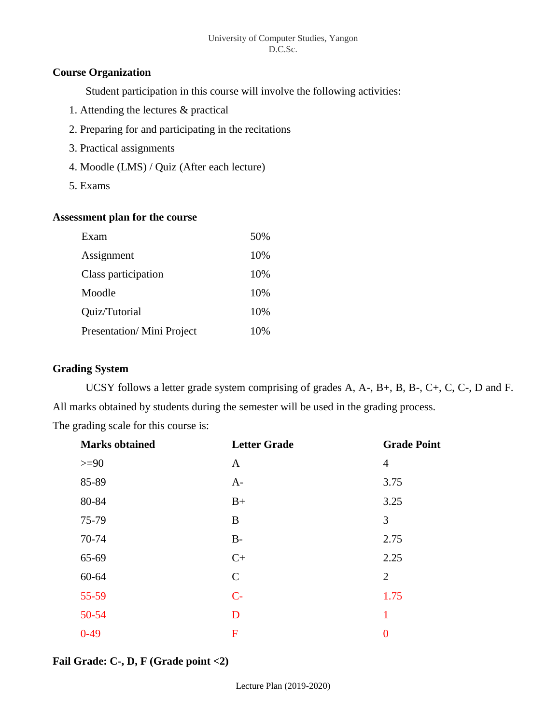#### University of Computer Studies, Yangon D.C.Sc.

#### **Course Organization**

Student participation in this course will involve the following activities:

- 1. Attending the lectures & practical
- 2. Preparing for and participating in the recitations
- 3. Practical assignments
- 4. Moodle (LMS) / Quiz (After each lecture)
- 5. Exams

#### **Assessment plan for the course**

| Exam                      | 50% |
|---------------------------|-----|
| Assignment                | 10% |
| Class participation       | 10% |
| Moodle                    | 10% |
| Quiz/Tutorial             | 10% |
| Presentation/Mini Project | 10% |

## **Grading System**

UCSY follows a letter grade system comprising of grades A, A-, B+, B, B-, C+, C, C-, D and F. All marks obtained by students during the semester will be used in the grading process.

The grading scale for this course is:

| <b>Marks obtained</b> | <b>Letter Grade</b> | <b>Grade Point</b> |
|-----------------------|---------------------|--------------------|
| $>=$ 90               | $\mathbf{A}$        | $\overline{4}$     |
| 85-89                 | $A-$                | 3.75               |
| 80-84                 | $B+$                | 3.25               |
| 75-79                 | B                   | 3                  |
| 70-74                 | $B-$                | 2.75               |
| 65-69                 | $C+$                | 2.25               |
| 60-64                 | $\mathbf C$         | $\overline{2}$     |
| $55 - 59$             | $C-$                | 1.75               |
| $50 - 54$             | D                   | 1                  |
| $0-49$                | F                   | $\overline{0}$     |

## **Fail Grade: C-, D, F (Grade point <2)**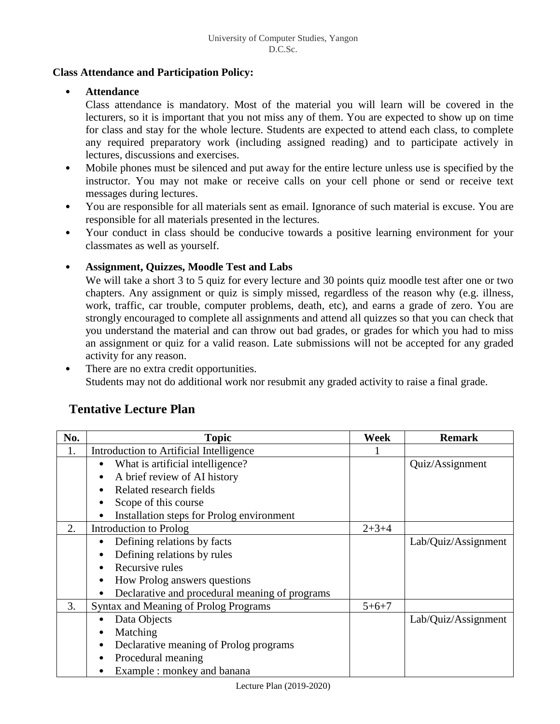#### **Class Attendance and Participation Policy:**

#### • **Attendance**

Class attendance is mandatory. Most of the material you will learn will be covered in the lecturers, so it is important that you not miss any of them. You are expected to show up on time for class and stay for the whole lecture. Students are expected to attend each class, to complete any required preparatory work (including assigned reading) and to participate actively in lectures, discussions and exercises.

- Mobile phones must be silenced and put away for the entire lecture unless use is specified by the instructor. You may not make or receive calls on your cell phone or send or receive text messages during lectures.
- You are responsible for all materials sent as email. Ignorance of such material is excuse. You are responsible for all materials presented in the lectures.
- Your conduct in class should be conducive towards a positive learning environment for your classmates as well as yourself.

## • **Assignment, Quizzes, Moodle Test and Labs**

We will take a short 3 to 5 quiz for every lecture and 30 points quiz moodle test after one or two chapters. Any assignment or quiz is simply missed, regardless of the reason why (e.g. illness, work, traffic, car trouble, computer problems, death, etc), and earns a grade of zero. You are strongly encouraged to complete all assignments and attend all quizzes so that you can check that you understand the material and can throw out bad grades, or grades for which you had to miss an assignment or quiz for a valid reason. Late submissions will not be accepted for any graded activity for any reason.

There are no extra credit opportunities. Students may not do additional work nor resubmit any graded activity to raise a final grade.

## **Tentative Lecture Plan**

| No. | <b>Topic</b>                                        | Week        | <b>Remark</b>       |
|-----|-----------------------------------------------------|-------------|---------------------|
| 1.  | Introduction to Artificial Intelligence             |             |                     |
|     | What is artificial intelligence?<br>٠               |             | Quiz/Assignment     |
|     | A brief review of AI history<br>$\bullet$           |             |                     |
|     | Related research fields<br>$\bullet$                |             |                     |
|     | Scope of this course<br>٠                           |             |                     |
|     | Installation steps for Prolog environment           |             |                     |
| 2.  | Introduction to Prolog                              | $2 + 3 + 4$ |                     |
|     | Defining relations by facts<br>٠                    |             | Lab/Quiz/Assignment |
|     | Defining relations by rules                         |             |                     |
|     | Recursive rules                                     |             |                     |
|     | How Prolog answers questions                        |             |                     |
|     | Declarative and procedural meaning of programs      |             |                     |
| 3.  | <b>Syntax and Meaning of Prolog Programs</b>        |             |                     |
|     | Data Objects                                        |             | Lab/Quiz/Assignment |
|     | Matching<br>٠                                       |             |                     |
|     | Declarative meaning of Prolog programs<br>$\bullet$ |             |                     |
|     | Procedural meaning<br>$\bullet$                     |             |                     |
|     | Example : monkey and banana                         |             |                     |